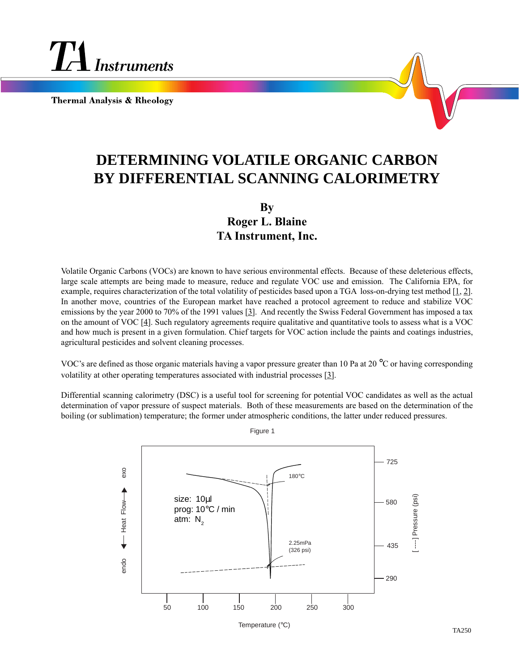

**Thermal Analysis & Rheology** 

## **DETERMINING VOLATILE ORGANIC CARBON BY DIFFERENTIAL SCANNING CALORIMETRY**

## **By Roger L. Blaine TA Instrument, Inc.**

Volatile Organic Carbons (VOCs) are known to have serious environmental effects. Because of these deleterious effects, large scale attempts are being made to measure, reduce and regulate VOC use and emission. The California EPA, for example, requires characterization of the total volatility of pesticides based upon a TGA loss-on-drying test method [1, 2]. In another move, countries of the European market have reached a protocol agreement to reduce and stabilize VOC emissions by the year 2000 to 70% of the 1991 values [3]. And recently the Swiss Federal Government has imposed a tax on the amount of VOC [4]. Such regulatory agreements require qualitative and quantitative tools to assess what is a VOC and how much is present in a given formulation. Chief targets for VOC action include the paints and coatings industries, agricultural pesticides and solvent cleaning processes.

VOC's are defined as those organic materials having a vapor pressure greater than 10 Pa at 20 °C or having corresponding volatility at other operating temperatures associated with industrial processes [3].

Differential scanning calorimetry (DSC) is a useful tool for screening for potential VOC candidates as well as the actual determination of vapor pressure of suspect materials. Both of these measurements are based on the determination of the boiling (or sublimation) temperature; the former under atmospheric conditions, the latter under reduced pressures.



Figure 1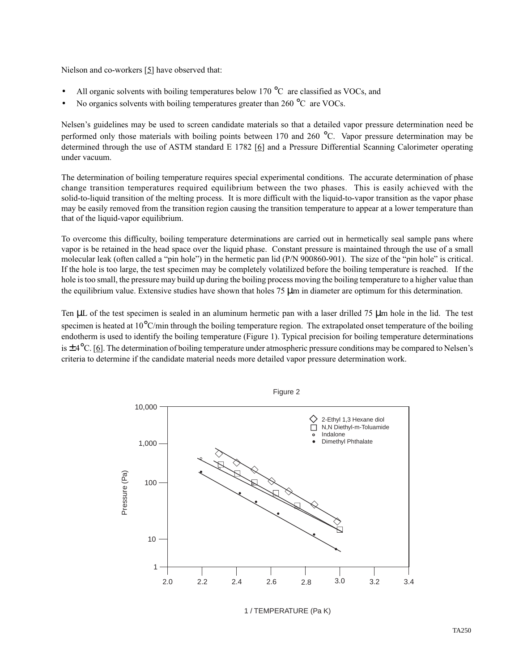Nielson and co-workers [5] have observed that:

- All organic solvents with boiling temperatures below 170  $\rm{^{\circ}C}\;$  are classified as VOCs, and
- No organics solvents with boiling temperatures greater than  $260^{\circ}$ C are VOCs.

Nelsen's guidelines may be used to screen candidate materials so that a detailed vapor pressure determination need be performed only those materials with boiling points between 170 and 260 °C. Vapor pressure determination may be determined through the use of ASTM standard E 1782 [6] and a Pressure Differential Scanning Calorimeter operating under vacuum.

The determination of boiling temperature requires special experimental conditions. The accurate determination of phase change transition temperatures required equilibrium between the two phases. This is easily achieved with the solid-to-liquid transition of the melting process. It is more difficult with the liquid-to-vapor transition as the vapor phase may be easily removed from the transition region causing the transition temperature to appear at a lower temperature than that of the liquid-vapor equilibrium.

To overcome this difficulty, boiling temperature determinations are carried out in hermetically seal sample pans where vapor is be retained in the head space over the liquid phase. Constant pressure is maintained through the use of a small molecular leak (often called a "pin hole") in the hermetic pan lid (P/N 900860-901). The size of the "pin hole" is critical. If the hole is too large, the test specimen may be completely volatilized before the boiling temperature is reached. If the hole is too small, the pressure may build up during the boiling process moving the boiling temperature to a higher value than the equilibrium value. Extensive studies have shown that holes 75 µm in diameter are optimum for this determination.

Ten  $\mu$ L of the test specimen is sealed in an aluminum hermetic pan with a laser drilled 75  $\mu$ m hole in the lid. The test specimen is heated at 10°C/min through the boiling temperature region. The extrapolated onset temperature of the boiling endotherm is used to identify the boiling temperature (Figure 1). Typical precision for boiling temperature determinations is  $\pm 4^{\circ}$ C. [6]. The determination of boiling temperature under atmospheric pressure conditions may be compared to Nelsen's criteria to determine if the candidate material needs more detailed vapor pressure determination work.



1 / TEMPERATURE (Pa K)